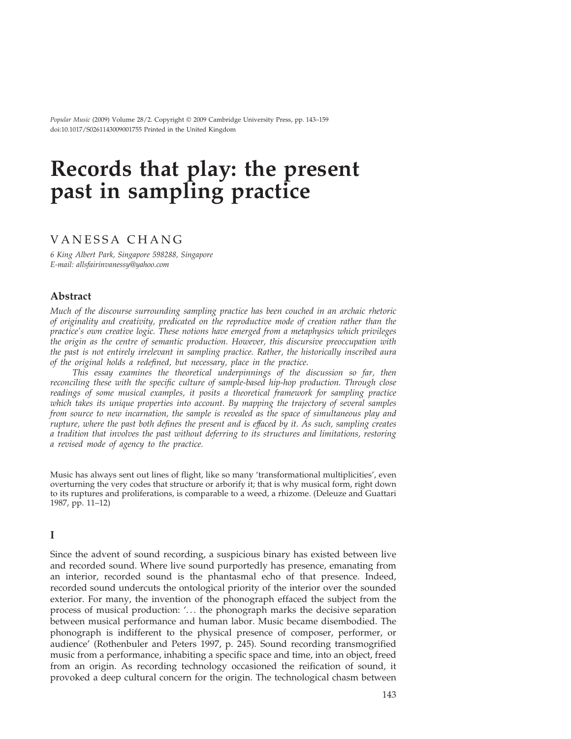# **Records that play: the present past in sampling practice**

# VANESSA CHANG

*6 King Albert Park, Singapore 598288, Singapore E-mail: [allsfairinvanessy@yahoo.com](mailto:allsfairinvanessy@yahoo.com)*

## **Abstract**

*Much of the discourse surrounding sampling practice has been couched in an archaic rhetoric of originality and creativity, predicated on the reproductive mode of creation rather than the practice's own creative logic. These notions have emerged from a metaphysics which privileges the origin as the centre of semantic production. However, this discursive preoccupation with the past is not entirely irrelevant in sampling practice. Rather, the historically inscribed aura of the original holds a redefined, but necessary, place in the practice.*

*This essay examines the theoretical underpinnings of the discussion so far, then reconciling these with the specific culture of sample-based hip-hop production. Through close readings of some musical examples, it posits a theoretical framework for sampling practice which takes its unique properties into account. By mapping the trajectory of several samples from source to new incarnation, the sample is revealed as the space of simultaneous play and rupture, where the past both defines the present and is effaced by it. As such, sampling creates a tradition that involves the past without deferring to its structures and limitations, restoring a revised mode of agency to the practice.*

Music has always sent out lines of flight, like so many 'transformational multiplicities', even overturning the very codes that structure or arborify it; that is why musical form, right down to its ruptures and proliferations, is comparable to a weed, a rhizome. (Deleuze and Guattari 1987, pp. 11–12)

## **I**

Since the advent of sound recording, a suspicious binary has existed between live and recorded sound. Where live sound purportedly has presence, emanating from an interior, recorded sound is the phantasmal echo of that presence. Indeed, recorded sound undercuts the ontological priority of the interior over the sounded exterior. For many, the invention of the phonograph effaced the subject from the process of musical production: '. . . the phonograph marks the decisive separation between musical performance and human labor. Music became disembodied. The phonograph is indifferent to the physical presence of composer, performer, or audience' (Rothenbuler and Peters 1997, p. 245). Sound recording transmogrified music from a performance, inhabiting a specific space and time, into an object, freed from an origin. As recording technology occasioned the reification of sound, it provoked a deep cultural concern for the origin. The technological chasm between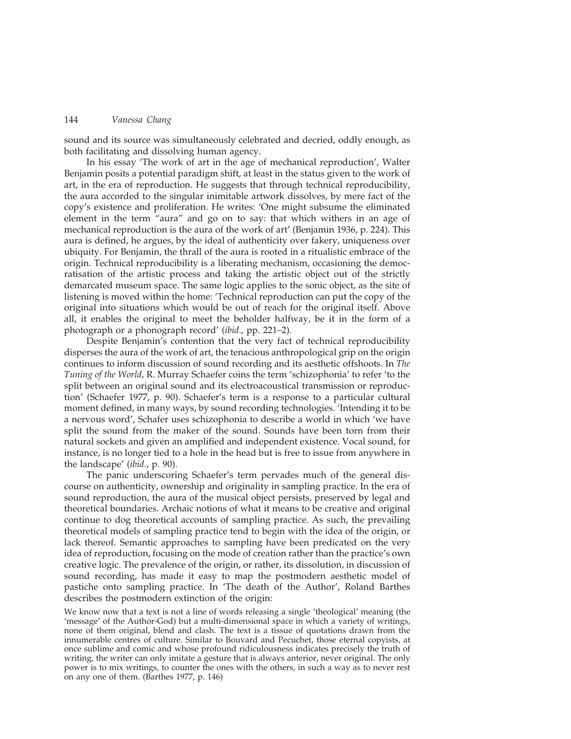sound and its source was simultaneously celebrated and decried, oddly enough, as both facilitating and dissolving human agency.

In his essay 'The work of art in the age of mechanical reproduction', Walter Benjamin posits a potential paradigm shift, at least in the status given to the work of art, in the era of reproduction. He suggests that through technical reproducibility, the aura accorded to the singular inimitable artwork dissolves, by mere fact of the copy's existence and proliferation. He writes: 'One might subsume the eliminated element in the term "aura" and go on to say: that which withers in an age of mechanical reproduction is the aura of the work of art' (Benjamin 1936, p. 224). This aura is defined, he argues, by the ideal of authenticity over fakery, uniqueness over ubiquity. For Benjamin, the thrall of the aura is rooted in a ritualistic embrace of the origin. Technical reproducibility is a liberating mechanism, occasioning the democratisation of the artistic process and taking the artistic object out of the strictly demarcated museum space. The same logic applies to the sonic object, as the site of listening is moved within the home: 'Technical reproduction can put the copy of the original into situations which would be out of reach for the original itself. Above all, it enables the original to meet the beholder halfway, be it in the form of a photograph or a phonograph record' (*ibid*., pp. 221–2).

Despite Benjamin's contention that the very fact of technical reproducibility disperses the aura of the work of art, the tenacious anthropological grip on the origin continues to inform discussion of sound recording and its aesthetic offshoots. In *The Tuning of the World*, R. Murray Schaefer coins the term 'schizophonia' to refer 'to the split between an original sound and its electroacoustical transmission or reproduction' (Schaefer 1977, p. 90). Schaefer's term is a response to a particular cultural moment defined, in many ways, by sound recording technologies. 'Intending it to be a nervous word', Schafer uses schizophonia to describe a world in which 'we have split the sound from the maker of the sound. Sounds have been torn from their natural sockets and given an amplified and independent existence. Vocal sound, for instance, is no longer tied to a hole in the head but is free to issue from anywhere in the landscape' (*ibid*., p. 90).

The panic underscoring Schaefer's term pervades much of the general discourse on authenticity, ownership and originality in sampling practice. In the era of sound reproduction, the aura of the musical object persists, preserved by legal and theoretical boundaries. Archaic notions of what it means to be creative and original continue to dog theoretical accounts of sampling practice. As such, the prevailing theoretical models of sampling practice tend to begin with the idea of the origin, or lack thereof. Semantic approaches to sampling have been predicated on the very idea of reproduction, focusing on the mode of creation rather than the practice's own creative logic. The prevalence of the origin, or rather, its dissolution, in discussion of sound recording, has made it easy to map the postmodern aesthetic model of pastiche onto sampling practice. In 'The death of the Author', Roland Barthes describes the postmodern extinction of the origin:

We know now that a text is not a line of words releasing a single 'theological' meaning (the 'message' of the Author-God) but a multi-dimensional space in which a variety of writings, none of them original, blend and clash. The text is a tissue of quotations drawn from the innumerable centres of culture. Similar to Bouvard and Pecuchet, those eternal copyists, at once sublime and comic and whose profound ridiculousness indicates precisely the truth of writing, the writer can only imitate a gesture that is always anterior, never original. The only power is to mix writings, to counter the ones with the others, in such a way as to never rest on any one of them. (Barthes 1977, p. 146)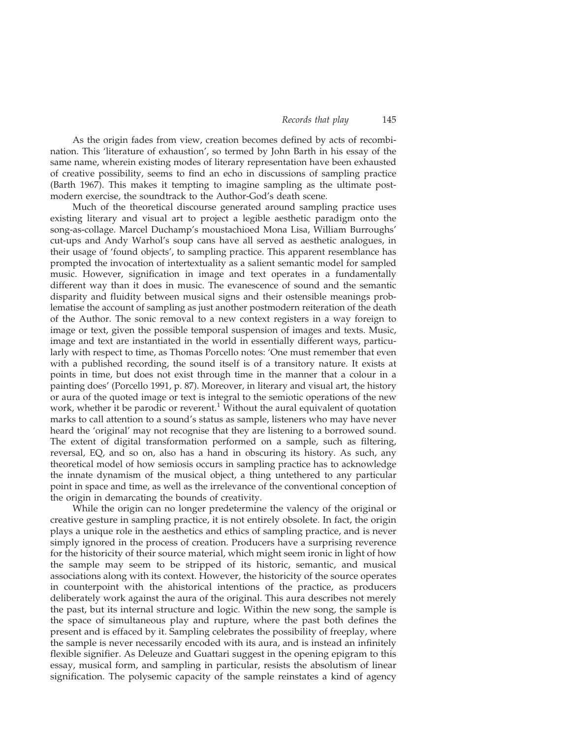As the origin fades from view, creation becomes defined by acts of recombination. This 'literature of exhaustion', so termed by John Barth in his essay of the same name, wherein existing modes of literary representation have been exhausted of creative possibility, seems to find an echo in discussions of sampling practice (Barth 1967). This makes it tempting to imagine sampling as the ultimate postmodern exercise, the soundtrack to the Author-God's death scene.

Much of the theoretical discourse generated around sampling practice uses existing literary and visual art to project a legible aesthetic paradigm onto the song-as-collage. Marcel Duchamp's moustachioed Mona Lisa, William Burroughs' cut-ups and Andy Warhol's soup cans have all served as aesthetic analogues, in their usage of 'found objects', to sampling practice. This apparent resemblance has prompted the invocation of intertextuality as a salient semantic model for sampled music. However, signification in image and text operates in a fundamentally different way than it does in music. The evanescence of sound and the semantic disparity and fluidity between musical signs and their ostensible meanings problematise the account of sampling as just another postmodern reiteration of the death of the Author. The sonic removal to a new context registers in a way foreign to image or text, given the possible temporal suspension of images and texts. Music, image and text are instantiated in the world in essentially different ways, particularly with respect to time, as Thomas Porcello notes: 'One must remember that even with a published recording, the sound itself is of a transitory nature. It exists at points in time, but does not exist through time in the manner that a colour in a painting does' (Porcello 1991, p. 87). Moreover, in literary and visual art, the history or aura of the quoted image or text is integral to the semiotic operations of the new work, whether it be parodic or reverent.<sup>1</sup> Without the aural equivalent of quotation marks to call attention to a sound's status as sample, listeners who may have never heard the 'original' may not recognise that they are listening to a borrowed sound. The extent of digital transformation performed on a sample, such as filtering, reversal, EQ, and so on, also has a hand in obscuring its history. As such, any theoretical model of how semiosis occurs in sampling practice has to acknowledge the innate dynamism of the musical object, a thing untethered to any particular point in space and time, as well as the irrelevance of the conventional conception of the origin in demarcating the bounds of creativity.

While the origin can no longer predetermine the valency of the original or creative gesture in sampling practice, it is not entirely obsolete. In fact, the origin plays a unique role in the aesthetics and ethics of sampling practice, and is never simply ignored in the process of creation. Producers have a surprising reverence for the historicity of their source material, which might seem ironic in light of how the sample may seem to be stripped of its historic, semantic, and musical associations along with its context. However, the historicity of the source operates in counterpoint with the ahistorical intentions of the practice, as producers deliberately work against the aura of the original. This aura describes not merely the past, but its internal structure and logic. Within the new song, the sample is the space of simultaneous play and rupture, where the past both defines the present and is effaced by it. Sampling celebrates the possibility of freeplay, where the sample is never necessarily encoded with its aura, and is instead an infinitely flexible signifier. As Deleuze and Guattari suggest in the opening epigram to this essay, musical form, and sampling in particular, resists the absolutism of linear signification. The polysemic capacity of the sample reinstates a kind of agency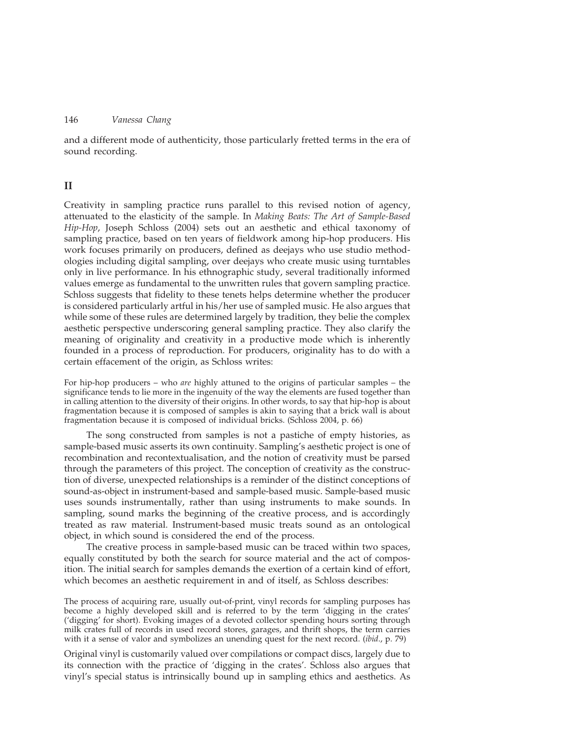and a different mode of authenticity, those particularly fretted terms in the era of sound recording.

## **II**

Creativity in sampling practice runs parallel to this revised notion of agency, attenuated to the elasticity of the sample. In *Making Beats: The Art of Sample-Based Hip-Hop*, Joseph Schloss (2004) sets out an aesthetic and ethical taxonomy of sampling practice, based on ten years of fieldwork among hip-hop producers. His work focuses primarily on producers, defined as deejays who use studio methodologies including digital sampling, over deejays who create music using turntables only in live performance. In his ethnographic study, several traditionally informed values emerge as fundamental to the unwritten rules that govern sampling practice. Schloss suggests that fidelity to these tenets helps determine whether the producer is considered particularly artful in his/her use of sampled music. He also argues that while some of these rules are determined largely by tradition, they belie the complex aesthetic perspective underscoring general sampling practice. They also clarify the meaning of originality and creativity in a productive mode which is inherently founded in a process of reproduction. For producers, originality has to do with a certain effacement of the origin, as Schloss writes:

For hip-hop producers – who *are* highly attuned to the origins of particular samples – the significance tends to lie more in the ingenuity of the way the elements are fused together than in calling attention to the diversity of their origins. In other words, to say that hip-hop is about fragmentation because it is composed of samples is akin to saying that a brick wall is about fragmentation because it is composed of individual bricks. (Schloss 2004, p. 66)

The song constructed from samples is not a pastiche of empty histories, as sample-based music asserts its own continuity. Sampling's aesthetic project is one of recombination and recontextualisation, and the notion of creativity must be parsed through the parameters of this project. The conception of creativity as the construction of diverse, unexpected relationships is a reminder of the distinct conceptions of sound-as-object in instrument-based and sample-based music. Sample-based music uses sounds instrumentally, rather than using instruments to make sounds. In sampling, sound marks the beginning of the creative process, and is accordingly treated as raw material. Instrument-based music treats sound as an ontological object, in which sound is considered the end of the process.

The creative process in sample-based music can be traced within two spaces, equally constituted by both the search for source material and the act of composition. The initial search for samples demands the exertion of a certain kind of effort, which becomes an aesthetic requirement in and of itself, as Schloss describes:

The process of acquiring rare, usually out-of-print, vinyl records for sampling purposes has become a highly developed skill and is referred to by the term 'digging in the crates' ('digging' for short). Evoking images of a devoted collector spending hours sorting through milk crates full of records in used record stores, garages, and thrift shops, the term carries with it a sense of valor and symbolizes an unending quest for the next record. (*ibid*., p. 79)

Original vinyl is customarily valued over compilations or compact discs, largely due to its connection with the practice of 'digging in the crates'. Schloss also argues that vinyl's special status is intrinsically bound up in sampling ethics and aesthetics. As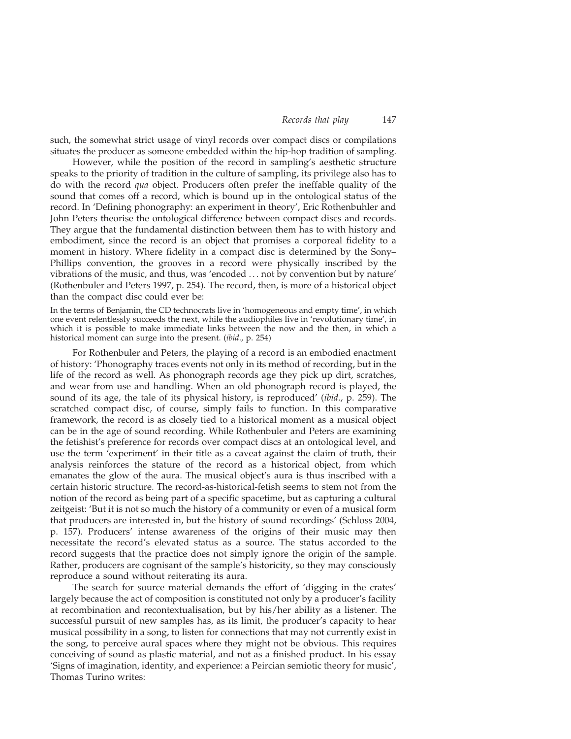such, the somewhat strict usage of vinyl records over compact discs or compilations situates the producer as someone embedded within the hip-hop tradition of sampling.

However, while the position of the record in sampling's aesthetic structure speaks to the priority of tradition in the culture of sampling, its privilege also has to do with the record *qua* object. Producers often prefer the ineffable quality of the sound that comes off a record, which is bound up in the ontological status of the record. In 'Defining phonography: an experiment in theory', Eric Rothenbuhler and John Peters theorise the ontological difference between compact discs and records. They argue that the fundamental distinction between them has to with history and embodiment, since the record is an object that promises a corporeal fidelity to a moment in history. Where fidelity in a compact disc is determined by the Sony– Phillips convention, the grooves in a record were physically inscribed by the vibrations of the music, and thus, was 'encoded . . . not by convention but by nature' (Rothenbuler and Peters 1997, p. 254). The record, then, is more of a historical object than the compact disc could ever be:

In the terms of Benjamin, the CD technocrats live in 'homogeneous and empty time', in which one event relentlessly succeeds the next, while the audiophiles live in 'revolutionary time', in which it is possible to make immediate links between the now and the then, in which a historical moment can surge into the present. (*ibid*., p. 254)

For Rothenbuler and Peters, the playing of a record is an embodied enactment of history: 'Phonography traces events not only in its method of recording, but in the life of the record as well. As phonograph records age they pick up dirt, scratches, and wear from use and handling. When an old phonograph record is played, the sound of its age, the tale of its physical history, is reproduced' (*ibid*., p. 259). The scratched compact disc, of course, simply fails to function. In this comparative framework, the record is as closely tied to a historical moment as a musical object can be in the age of sound recording. While Rothenbuler and Peters are examining the fetishist's preference for records over compact discs at an ontological level, and use the term 'experiment' in their title as a caveat against the claim of truth, their analysis reinforces the stature of the record as a historical object, from which emanates the glow of the aura. The musical object's aura is thus inscribed with a certain historic structure. The record-as-historical-fetish seems to stem not from the notion of the record as being part of a specific spacetime, but as capturing a cultural zeitgeist: 'But it is not so much the history of a community or even of a musical form that producers are interested in, but the history of sound recordings' (Schloss 2004, p. 157). Producers' intense awareness of the origins of their music may then necessitate the record's elevated status as a source. The status accorded to the record suggests that the practice does not simply ignore the origin of the sample. Rather, producers are cognisant of the sample's historicity, so they may consciously reproduce a sound without reiterating its aura.

The search for source material demands the effort of 'digging in the crates' largely because the act of composition is constituted not only by a producer's facility at recombination and recontextualisation, but by his/her ability as a listener. The successful pursuit of new samples has, as its limit, the producer's capacity to hear musical possibility in a song, to listen for connections that may not currently exist in the song, to perceive aural spaces where they might not be obvious. This requires conceiving of sound as plastic material, and not as a finished product. In his essay 'Signs of imagination, identity, and experience: a Peircian semiotic theory for music', Thomas Turino writes: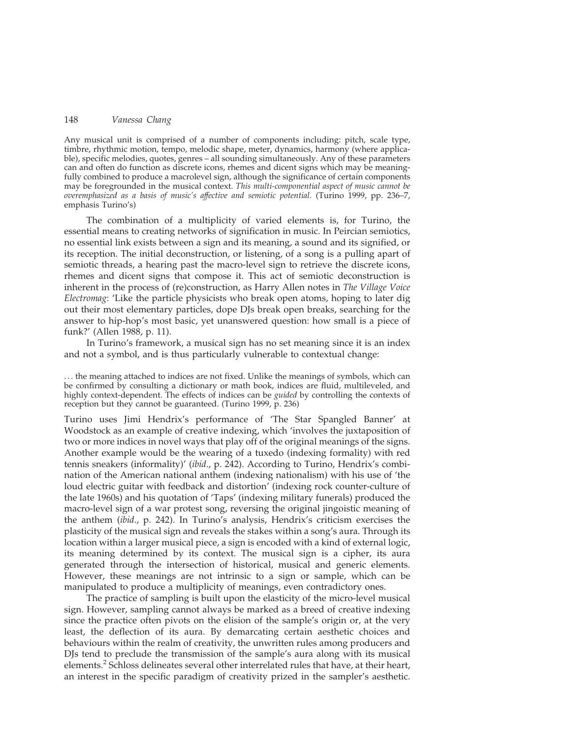Any musical unit is comprised of a number of components including: pitch, scale type, timbre, rhythmic motion, tempo, melodic shape, meter, dynamics, harmony (where applicable), specific melodies, quotes, genres – all sounding simultaneously. Any of these parameters can and often do function as discrete icons, rhemes and dicent signs which may be meaningfully combined to produce a macrolevel sign, although the significance of certain components may be foregrounded in the musical context. *This multi-componential aspect of music cannot be overemphasized as a basis of music's affective and semiotic potential*. (Turino 1999, pp. 236–7, emphasis Turino's)

The combination of a multiplicity of varied elements is, for Turino, the essential means to creating networks of signification in music. In Peircian semiotics, no essential link exists between a sign and its meaning, a sound and its signified, or its reception. The initial deconstruction, or listening, of a song is a pulling apart of semiotic threads, a hearing past the macro-level sign to retrieve the discrete icons, rhemes and dicent signs that compose it. This act of semiotic deconstruction is inherent in the process of (re)construction, as Harry Allen notes in *The Village Voice Electromag*: 'Like the particle physicists who break open atoms, hoping to later dig out their most elementary particles, dope DJs break open breaks, searching for the answer to hip-hop's most basic, yet unanswered question: how small is a piece of funk?' (Allen 1988, p. 11).

In Turino's framework, a musical sign has no set meaning since it is an index and not a symbol, and is thus particularly vulnerable to contextual change:

. . . the meaning attached to indices are not fixed. Unlike the meanings of symbols, which can be confirmed by consulting a dictionary or math book, indices are fluid, multileveled, and highly context-dependent. The effects of indices can be *guided* by controlling the contexts of reception but they cannot be guaranteed. (Turino 1999, p. 236)

Turino uses Jimi Hendrix's performance of 'The Star Spangled Banner' at Woodstock as an example of creative indexing, which 'involves the juxtaposition of two or more indices in novel ways that play off of the original meanings of the signs. Another example would be the wearing of a tuxedo (indexing formality) with red tennis sneakers (informality)' (*ibid*., p. 242). According to Turino, Hendrix's combination of the American national anthem (indexing nationalism) with his use of 'the loud electric guitar with feedback and distortion' (indexing rock counter-culture of the late 1960s) and his quotation of 'Taps' (indexing military funerals) produced the macro-level sign of a war protest song, reversing the original jingoistic meaning of the anthem (*ibid*., p. 242). In Turino's analysis, Hendrix's criticism exercises the plasticity of the musical sign and reveals the stakes within a song's aura. Through its location within a larger musical piece, a sign is encoded with a kind of external logic, its meaning determined by its context. The musical sign is a cipher, its aura generated through the intersection of historical, musical and generic elements. However, these meanings are not intrinsic to a sign or sample, which can be manipulated to produce a multiplicity of meanings, even contradictory ones.

The practice of sampling is built upon the elasticity of the micro-level musical sign. However, sampling cannot always be marked as a breed of creative indexing since the practice often pivots on the elision of the sample's origin or, at the very least, the deflection of its aura. By demarcating certain aesthetic choices and behaviours within the realm of creativity, the unwritten rules among producers and DJs tend to preclude the transmission of the sample's aura along with its musical elements.<sup>2</sup> Schloss delineates several other interrelated rules that have, at their heart, an interest in the specific paradigm of creativity prized in the sampler's aesthetic.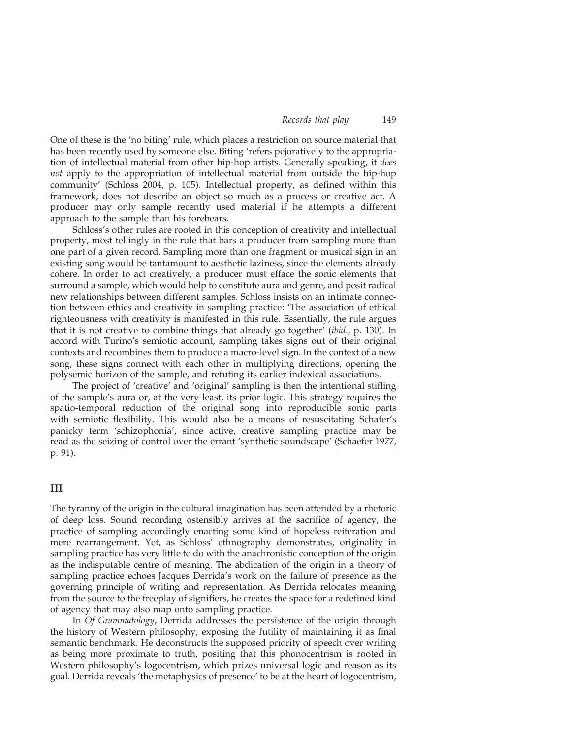One of these is the 'no biting' rule, which places a restriction on source material that has been recently used by someone else. Biting 'refers pejoratively to the appropriation of intellectual material from other hip-hop artists. Generally speaking, it *does not* apply to the appropriation of intellectual material from outside the hip-hop community' (Schloss 2004, p. 105). Intellectual property, as defined within this framework, does not describe an object so much as a process or creative act. A producer may only sample recently used material if he attempts a different approach to the sample than his forebears.

Schloss's other rules are rooted in this conception of creativity and intellectual property, most tellingly in the rule that bars a producer from sampling more than one part of a given record. Sampling more than one fragment or musical sign in an existing song would be tantamount to aesthetic laziness, since the elements already cohere. In order to act creatively, a producer must efface the sonic elements that surround a sample, which would help to constitute aura and genre, and posit radical new relationships between different samples. Schloss insists on an intimate connection between ethics and creativity in sampling practice: 'The association of ethical righteousness with creativity is manifested in this rule. Essentially, the rule argues that it is not creative to combine things that already go together' (*ibid*., p. 130). In accord with Turino's semiotic account, sampling takes signs out of their original contexts and recombines them to produce a macro-level sign. In the context of a new song, these signs connect with each other in multiplying directions, opening the polysemic horizon of the sample, and refuting its earlier indexical associations.

The project of 'creative' and 'original' sampling is then the intentional stifling of the sample's aura or, at the very least, its prior logic. This strategy requires the spatio-temporal reduction of the original song into reproducible sonic parts with semiotic flexibility. This would also be a means of resuscitating Schafer's panicky term 'schizophonia', since active, creative sampling practice may be read as the seizing of control over the errant 'synthetic soundscape' (Schaefer 1977, p. 91).

#### **III**

The tyranny of the origin in the cultural imagination has been attended by a rhetoric of deep loss. Sound recording ostensibly arrives at the sacrifice of agency, the practice of sampling accordingly enacting some kind of hopeless reiteration and mere rearrangement. Yet, as Schloss' ethnography demonstrates, originality in sampling practice has very little to do with the anachronistic conception of the origin as the indisputable centre of meaning. The abdication of the origin in a theory of sampling practice echoes Jacques Derrida's work on the failure of presence as the governing principle of writing and representation. As Derrida relocates meaning from the source to the freeplay of signifiers, he creates the space for a redefined kind of agency that may also map onto sampling practice.

In *Of Grammatology*, Derrida addresses the persistence of the origin through the history of Western philosophy, exposing the futility of maintaining it as final semantic benchmark. He deconstructs the supposed priority of speech over writing as being more proximate to truth, positing that this phonocentrism is rooted in Western philosophy's logocentrism, which prizes universal logic and reason as its goal. Derrida reveals 'the metaphysics of presence' to be at the heart of logocentrism,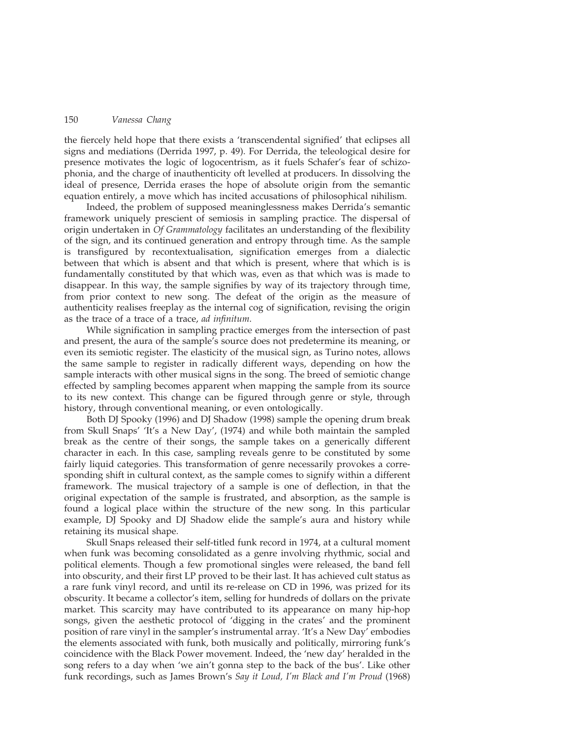the fiercely held hope that there exists a 'transcendental signified' that eclipses all signs and mediations (Derrida 1997, p. 49). For Derrida, the teleological desire for presence motivates the logic of logocentrism, as it fuels Schafer's fear of schizophonia, and the charge of inauthenticity oft levelled at producers. In dissolving the ideal of presence, Derrida erases the hope of absolute origin from the semantic equation entirely, a move which has incited accusations of philosophical nihilism.

Indeed, the problem of supposed meaninglessness makes Derrida's semantic framework uniquely prescient of semiosis in sampling practice. The dispersal of origin undertaken in *Of Grammatology* facilitates an understanding of the flexibility of the sign, and its continued generation and entropy through time. As the sample is transfigured by recontextualisation, signification emerges from a dialectic between that which is absent and that which is present, where that which is is fundamentally constituted by that which was, even as that which was is made to disappear. In this way, the sample signifies by way of its trajectory through time, from prior context to new song. The defeat of the origin as the measure of authenticity realises freeplay as the internal cog of signification, revising the origin as the trace of a trace of a trace, *ad infinitum*.

While signification in sampling practice emerges from the intersection of past and present, the aura of the sample's source does not predetermine its meaning, or even its semiotic register. The elasticity of the musical sign, as Turino notes, allows the same sample to register in radically different ways, depending on how the sample interacts with other musical signs in the song. The breed of semiotic change effected by sampling becomes apparent when mapping the sample from its source to its new context. This change can be figured through genre or style, through history, through conventional meaning, or even ontologically.

Both DJ Spooky (1996) and DJ Shadow (1998) sample the opening drum break from Skull Snaps' 'It's a New Day', (1974) and while both maintain the sampled break as the centre of their songs, the sample takes on a generically different character in each. In this case, sampling reveals genre to be constituted by some fairly liquid categories. This transformation of genre necessarily provokes a corresponding shift in cultural context, as the sample comes to signify within a different framework. The musical trajectory of a sample is one of deflection, in that the original expectation of the sample is frustrated, and absorption, as the sample is found a logical place within the structure of the new song. In this particular example, DJ Spooky and DJ Shadow elide the sample's aura and history while retaining its musical shape.

Skull Snaps released their self-titled funk record in 1974, at a cultural moment when funk was becoming consolidated as a genre involving rhythmic, social and political elements. Though a few promotional singles were released, the band fell into obscurity, and their first LP proved to be their last. It has achieved cult status as a rare funk vinyl record, and until its re-release on CD in 1996, was prized for its obscurity. It became a collector's item, selling for hundreds of dollars on the private market. This scarcity may have contributed to its appearance on many hip-hop songs, given the aesthetic protocol of 'digging in the crates' and the prominent position of rare vinyl in the sampler's instrumental array. 'It's a New Day' embodies the elements associated with funk, both musically and politically, mirroring funk's coincidence with the Black Power movement. Indeed, the 'new day' heralded in the song refers to a day when 'we ain't gonna step to the back of the bus'. Like other funk recordings, such as James Brown's *Say it Loud, I'm Black and I'm Proud* (1968)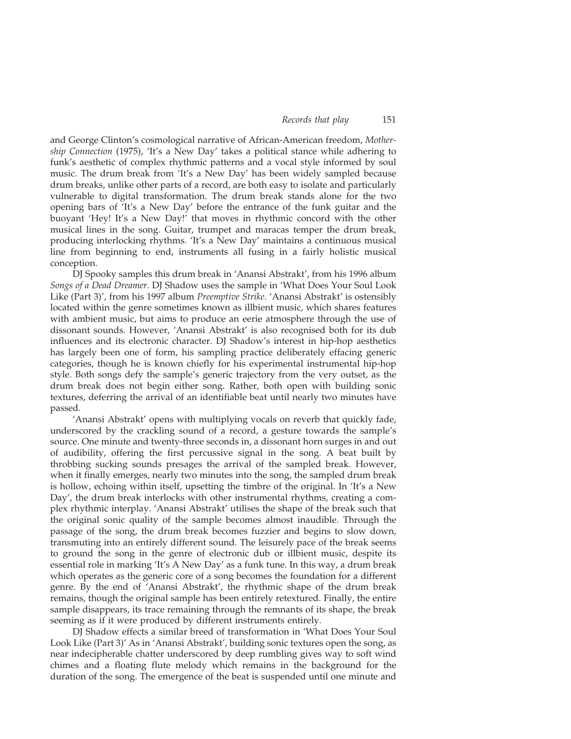and George Clinton's cosmological narrative of African-American freedom, *Mothership Connection* (1975), 'It's a New Day' takes a political stance while adhering to funk's aesthetic of complex rhythmic patterns and a vocal style informed by soul music. The drum break from 'It's a New Day' has been widely sampled because drum breaks, unlike other parts of a record, are both easy to isolate and particularly vulnerable to digital transformation. The drum break stands alone for the two opening bars of 'It's a New Day' before the entrance of the funk guitar and the buoyant 'Hey! It's a New Day!' that moves in rhythmic concord with the other musical lines in the song. Guitar, trumpet and maracas temper the drum break, producing interlocking rhythms. 'It's a New Day' maintains a continuous musical line from beginning to end, instruments all fusing in a fairly holistic musical conception.

DJ Spooky samples this drum break in 'Anansi Abstrakt', from his 1996 album *Songs of a Dead Dreamer.* DJ Shadow uses the sample in 'What Does Your Soul Look Like (Part 3)', from his 1997 album *Preemptive Strike*. 'Anansi Abstrakt' is ostensibly located within the genre sometimes known as illbient music, which shares features with ambient music, but aims to produce an eerie atmosphere through the use of dissonant sounds. However, 'Anansi Abstrakt' is also recognised both for its dub influences and its electronic character. DJ Shadow's interest in hip-hop aesthetics has largely been one of form, his sampling practice deliberately effacing generic categories, though he is known chiefly for his experimental instrumental hip-hop style. Both songs defy the sample's generic trajectory from the very outset, as the drum break does not begin either song. Rather, both open with building sonic textures, deferring the arrival of an identifiable beat until nearly two minutes have passed.

'Anansi Abstrakt' opens with multiplying vocals on reverb that quickly fade, underscored by the crackling sound of a record, a gesture towards the sample's source. One minute and twenty-three seconds in, a dissonant horn surges in and out of audibility, offering the first percussive signal in the song. A beat built by throbbing sucking sounds presages the arrival of the sampled break. However, when it finally emerges, nearly two minutes into the song, the sampled drum break is hollow, echoing within itself, upsetting the timbre of the original. In 'It's a New Day', the drum break interlocks with other instrumental rhythms, creating a complex rhythmic interplay. 'Anansi Abstrakt' utilises the shape of the break such that the original sonic quality of the sample becomes almost inaudible. Through the passage of the song, the drum break becomes fuzzier and begins to slow down, transmuting into an entirely different sound. The leisurely pace of the break seems to ground the song in the genre of electronic dub or illbient music, despite its essential role in marking 'It's A New Day' as a funk tune. In this way, a drum break which operates as the generic core of a song becomes the foundation for a different genre. By the end of 'Anansi Abstrakt', the rhythmic shape of the drum break remains, though the original sample has been entirely retextured. Finally, the entire sample disappears, its trace remaining through the remnants of its shape, the break seeming as if it were produced by different instruments entirely.

DJ Shadow effects a similar breed of transformation in 'What Does Your Soul Look Like (Part 3)' As in 'Anansi Abstrakt', building sonic textures open the song, as near indecipherable chatter underscored by deep rumbling gives way to soft wind chimes and a floating flute melody which remains in the background for the duration of the song. The emergence of the beat is suspended until one minute and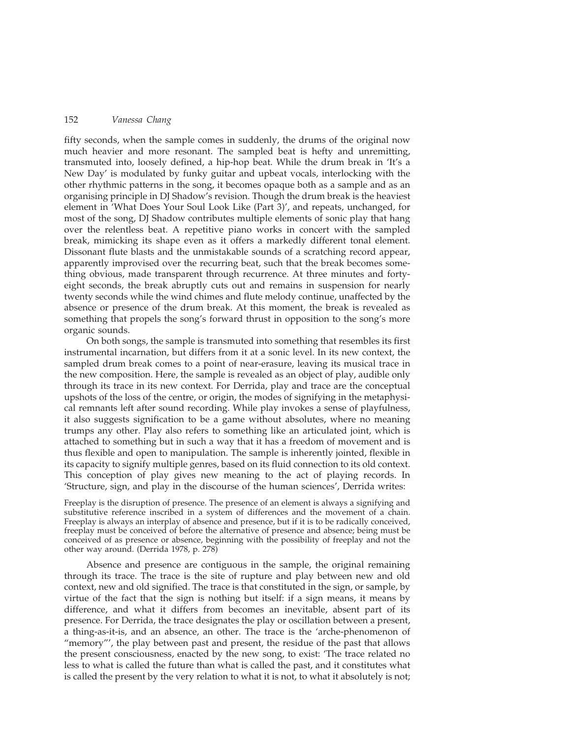fifty seconds, when the sample comes in suddenly, the drums of the original now much heavier and more resonant. The sampled beat is hefty and unremitting, transmuted into, loosely defined, a hip-hop beat. While the drum break in 'It's a New Day' is modulated by funky guitar and upbeat vocals, interlocking with the other rhythmic patterns in the song, it becomes opaque both as a sample and as an organising principle in DJ Shadow's revision. Though the drum break is the heaviest element in 'What Does Your Soul Look Like (Part 3)', and repeats, unchanged, for most of the song, DJ Shadow contributes multiple elements of sonic play that hang over the relentless beat. A repetitive piano works in concert with the sampled break, mimicking its shape even as it offers a markedly different tonal element. Dissonant flute blasts and the unmistakable sounds of a scratching record appear, apparently improvised over the recurring beat, such that the break becomes something obvious, made transparent through recurrence. At three minutes and fortyeight seconds, the break abruptly cuts out and remains in suspension for nearly twenty seconds while the wind chimes and flute melody continue, unaffected by the absence or presence of the drum break. At this moment, the break is revealed as something that propels the song's forward thrust in opposition to the song's more organic sounds.

On both songs, the sample is transmuted into something that resembles its first instrumental incarnation, but differs from it at a sonic level. In its new context, the sampled drum break comes to a point of near-erasure, leaving its musical trace in the new composition. Here, the sample is revealed as an object of play, audible only through its trace in its new context. For Derrida, play and trace are the conceptual upshots of the loss of the centre, or origin, the modes of signifying in the metaphysical remnants left after sound recording. While play invokes a sense of playfulness, it also suggests signification to be a game without absolutes, where no meaning trumps any other. Play also refers to something like an articulated joint, which is attached to something but in such a way that it has a freedom of movement and is thus flexible and open to manipulation. The sample is inherently jointed, flexible in its capacity to signify multiple genres, based on its fluid connection to its old context. This conception of play gives new meaning to the act of playing records. In 'Structure, sign, and play in the discourse of the human sciences', Derrida writes:

Freeplay is the disruption of presence. The presence of an element is always a signifying and substitutive reference inscribed in a system of differences and the movement of a chain. Freeplay is always an interplay of absence and presence, but if it is to be radically conceived, freeplay must be conceived of before the alternative of presence and absence; being must be conceived of as presence or absence, beginning with the possibility of freeplay and not the other way around. (Derrida 1978, p. 278)

Absence and presence are contiguous in the sample, the original remaining through its trace. The trace is the site of rupture and play between new and old context, new and old signified. The trace is that constituted in the sign, or sample, by virtue of the fact that the sign is nothing but itself: if a sign means, it means by difference, and what it differs from becomes an inevitable, absent part of its presence. For Derrida, the trace designates the play or oscillation between a present, a thing-as-it-is, and an absence, an other. The trace is the 'arche-phenomenon of "memory"', the play between past and present, the residue of the past that allows the present consciousness, enacted by the new song, to exist: 'The trace related no less to what is called the future than what is called the past, and it constitutes what is called the present by the very relation to what it is not, to what it absolutely is not;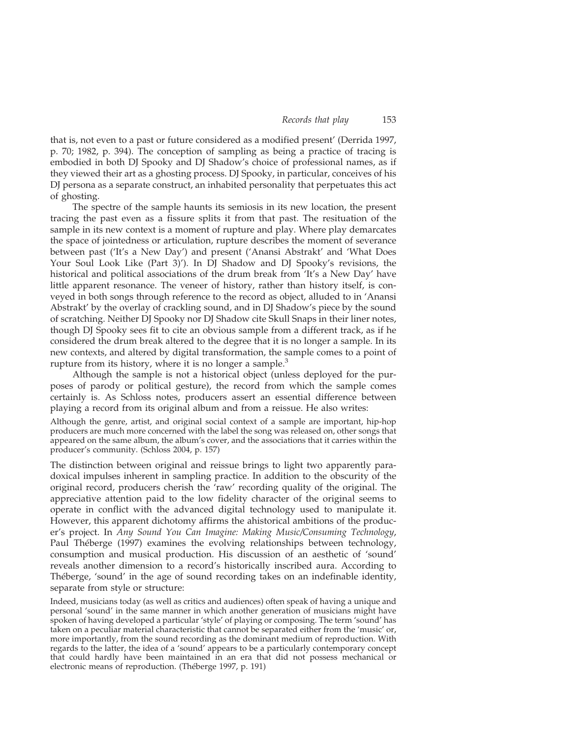that is, not even to a past or future considered as a modified present' (Derrida 1997, p. 70; 1982, p. 394). The conception of sampling as being a practice of tracing is embodied in both DJ Spooky and DJ Shadow's choice of professional names, as if they viewed their art as a ghosting process. DJ Spooky, in particular, conceives of his DJ persona as a separate construct, an inhabited personality that perpetuates this act of ghosting.

The spectre of the sample haunts its semiosis in its new location, the present tracing the past even as a fissure splits it from that past. The resituation of the sample in its new context is a moment of rupture and play. Where play demarcates the space of jointedness or articulation, rupture describes the moment of severance between past ('It's a New Day') and present ('Anansi Abstrakt' and 'What Does Your Soul Look Like (Part 3)'). In DJ Shadow and DJ Spooky's revisions, the historical and political associations of the drum break from 'It's a New Day' have little apparent resonance. The veneer of history, rather than history itself, is conveyed in both songs through reference to the record as object, alluded to in 'Anansi Abstrakt' by the overlay of crackling sound, and in DJ Shadow's piece by the sound of scratching. Neither DJ Spooky nor DJ Shadow cite Skull Snaps in their liner notes, though DJ Spooky sees fit to cite an obvious sample from a different track, as if he considered the drum break altered to the degree that it is no longer a sample. In its new contexts, and altered by digital transformation, the sample comes to a point of rupture from its history, where it is no longer a sample.<sup>3</sup>

Although the sample is not a historical object (unless deployed for the purposes of parody or political gesture), the record from which the sample comes certainly is. As Schloss notes, producers assert an essential difference between playing a record from its original album and from a reissue. He also writes:

Although the genre, artist, and original social context of a sample are important, hip-hop producers are much more concerned with the label the song was released on, other songs that appeared on the same album, the album's cover, and the associations that it carries within the producer's community. (Schloss 2004, p. 157)

The distinction between original and reissue brings to light two apparently paradoxical impulses inherent in sampling practice. In addition to the obscurity of the original record, producers cherish the 'raw' recording quality of the original. The appreciative attention paid to the low fidelity character of the original seems to operate in conflict with the advanced digital technology used to manipulate it. However, this apparent dichotomy affirms the ahistorical ambitions of the producer's project. In *Any Sound You Can Imagine: Making Music/Consuming Technology*, Paul Théberge (1997) examines the evolving relationships between technology, consumption and musical production. His discussion of an aesthetic of 'sound' reveals another dimension to a record's historically inscribed aura. According to Théberge, 'sound' in the age of sound recording takes on an indefinable identity, separate from style or structure:

Indeed, musicians today (as well as critics and audiences) often speak of having a unique and personal 'sound' in the same manner in which another generation of musicians might have spoken of having developed a particular 'style' of playing or composing. The term 'sound' has taken on a peculiar material characteristic that cannot be separated either from the 'music' or, more importantly, from the sound recording as the dominant medium of reproduction. With regards to the latter, the idea of a 'sound' appears to be a particularly contemporary concept that could hardly have been maintained in an era that did not possess mechanical or electronic means of reproduction. (Théberge 1997, p. 191)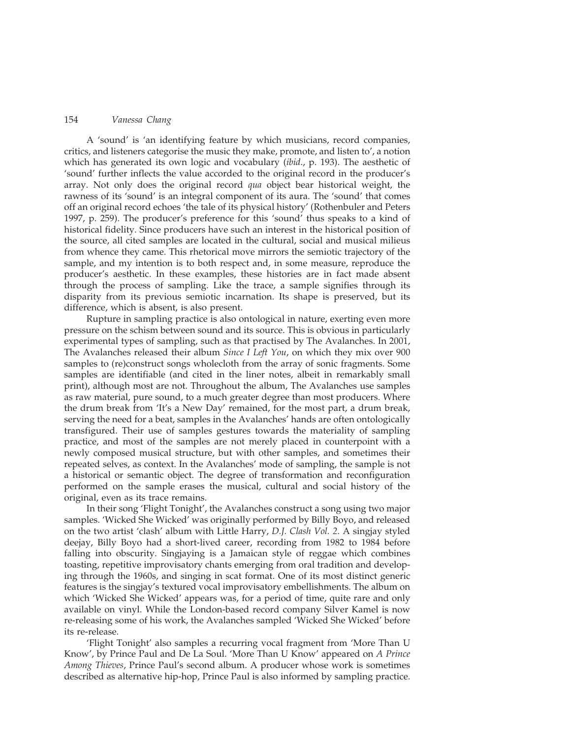A 'sound' is 'an identifying feature by which musicians, record companies, critics, and listeners categorise the music they make, promote, and listen to', a notion which has generated its own logic and vocabulary (*ibid*., p. 193). The aesthetic of 'sound' further inflects the value accorded to the original record in the producer's array. Not only does the original record *qua* object bear historical weight, the rawness of its 'sound' is an integral component of its aura. The 'sound' that comes off an original record echoes 'the tale of its physical history' (Rothenbuler and Peters 1997, p. 259). The producer's preference for this 'sound' thus speaks to a kind of historical fidelity. Since producers have such an interest in the historical position of the source, all cited samples are located in the cultural, social and musical milieus from whence they came. This rhetorical move mirrors the semiotic trajectory of the sample, and my intention is to both respect and, in some measure, reproduce the producer's aesthetic. In these examples, these histories are in fact made absent through the process of sampling. Like the trace, a sample signifies through its disparity from its previous semiotic incarnation. Its shape is preserved, but its difference, which is absent, is also present.

Rupture in sampling practice is also ontological in nature, exerting even more pressure on the schism between sound and its source. This is obvious in particularly experimental types of sampling, such as that practised by The Avalanches. In 2001, The Avalanches released their album *Since I Left You*, on which they mix over 900 samples to (re)construct songs wholecloth from the array of sonic fragments. Some samples are identifiable (and cited in the liner notes, albeit in remarkably small print), although most are not. Throughout the album, The Avalanches use samples as raw material, pure sound, to a much greater degree than most producers. Where the drum break from 'It's a New Day' remained, for the most part, a drum break, serving the need for a beat, samples in the Avalanches' hands are often ontologically transfigured. Their use of samples gestures towards the materiality of sampling practice, and most of the samples are not merely placed in counterpoint with a newly composed musical structure, but with other samples, and sometimes their repeated selves, as context. In the Avalanches' mode of sampling, the sample is not a historical or semantic object. The degree of transformation and reconfiguration performed on the sample erases the musical, cultural and social history of the original, even as its trace remains.

In their song 'Flight Tonight', the Avalanches construct a song using two major samples. 'Wicked She Wicked' was originally performed by Billy Boyo, and released on the two artist 'clash' album with Little Harry, *D.J. Clash Vol. 2*. A singjay styled deejay, Billy Boyo had a short-lived career, recording from 1982 to 1984 before falling into obscurity. Singjaying is a Jamaican style of reggae which combines toasting, repetitive improvisatory chants emerging from oral tradition and developing through the 1960s, and singing in scat format. One of its most distinct generic features is the singjay's textured vocal improvisatory embellishments. The album on which 'Wicked She Wicked' appears was, for a period of time, quite rare and only available on vinyl. While the London-based record company Silver Kamel is now re-releasing some of his work, the Avalanches sampled 'Wicked She Wicked' before its re-release.

'Flight Tonight' also samples a recurring vocal fragment from 'More Than U Know', by Prince Paul and De La Soul. 'More Than U Know' appeared on *A Prince Among Thieves*, Prince Paul's second album. A producer whose work is sometimes described as alternative hip-hop, Prince Paul is also informed by sampling practice.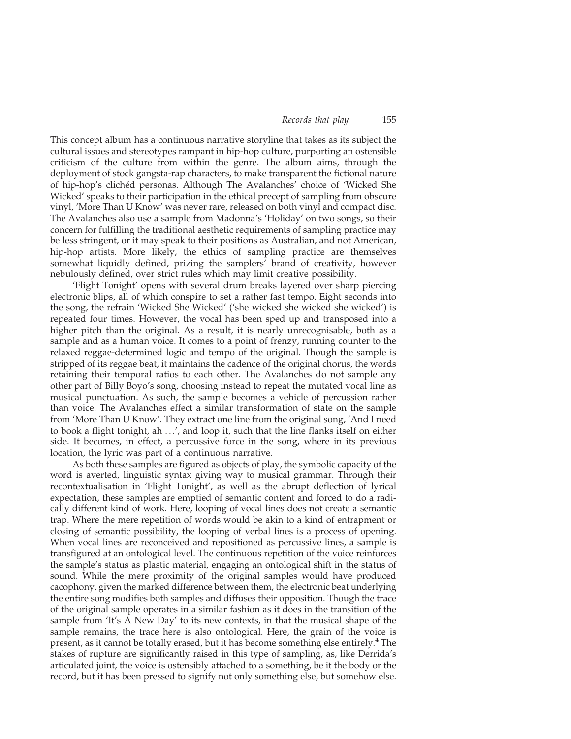This concept album has a continuous narrative storyline that takes as its subject the cultural issues and stereotypes rampant in hip-hop culture, purporting an ostensible criticism of the culture from within the genre. The album aims, through the deployment of stock gangsta-rap characters, to make transparent the fictional nature of hip-hop's clichéd personas. Although The Avalanches' choice of 'Wicked She Wicked' speaks to their participation in the ethical precept of sampling from obscure vinyl, 'More Than U Know' was never rare, released on both vinyl and compact disc. The Avalanches also use a sample from Madonna's 'Holiday' on two songs, so their concern for fulfilling the traditional aesthetic requirements of sampling practice may be less stringent, or it may speak to their positions as Australian, and not American, hip-hop artists. More likely, the ethics of sampling practice are themselves somewhat liquidly defined, prizing the samplers' brand of creativity, however nebulously defined, over strict rules which may limit creative possibility.

'Flight Tonight' opens with several drum breaks layered over sharp piercing electronic blips, all of which conspire to set a rather fast tempo. Eight seconds into the song, the refrain 'Wicked She Wicked' ('she wicked she wicked she wicked') is repeated four times. However, the vocal has been sped up and transposed into a higher pitch than the original. As a result, it is nearly unrecognisable, both as a sample and as a human voice. It comes to a point of frenzy, running counter to the relaxed reggae-determined logic and tempo of the original. Though the sample is stripped of its reggae beat, it maintains the cadence of the original chorus, the words retaining their temporal ratios to each other. The Avalanches do not sample any other part of Billy Boyo's song, choosing instead to repeat the mutated vocal line as musical punctuation. As such, the sample becomes a vehicle of percussion rather than voice. The Avalanches effect a similar transformation of state on the sample from 'More Than U Know'. They extract one line from the original song, 'And I need to book a flight tonight, ah ...', and loop it, such that the line flanks itself on either side. It becomes, in effect, a percussive force in the song, where in its previous location, the lyric was part of a continuous narrative.

As both these samples are figured as objects of play, the symbolic capacity of the word is averted, linguistic syntax giving way to musical grammar. Through their recontextualisation in 'Flight Tonight', as well as the abrupt deflection of lyrical expectation, these samples are emptied of semantic content and forced to do a radically different kind of work. Here, looping of vocal lines does not create a semantic trap. Where the mere repetition of words would be akin to a kind of entrapment or closing of semantic possibility, the looping of verbal lines is a process of opening. When vocal lines are reconceived and repositioned as percussive lines, a sample is transfigured at an ontological level. The continuous repetition of the voice reinforces the sample's status as plastic material, engaging an ontological shift in the status of sound. While the mere proximity of the original samples would have produced cacophony, given the marked difference between them, the electronic beat underlying the entire song modifies both samples and diffuses their opposition. Though the trace of the original sample operates in a similar fashion as it does in the transition of the sample from 'It's A New Day' to its new contexts, in that the musical shape of the sample remains, the trace here is also ontological. Here, the grain of the voice is present, as it cannot be totally erased, but it has become something else entirely.<sup>4</sup> The stakes of rupture are significantly raised in this type of sampling, as, like Derrida's articulated joint, the voice is ostensibly attached to a something, be it the body or the record, but it has been pressed to signify not only something else, but somehow else.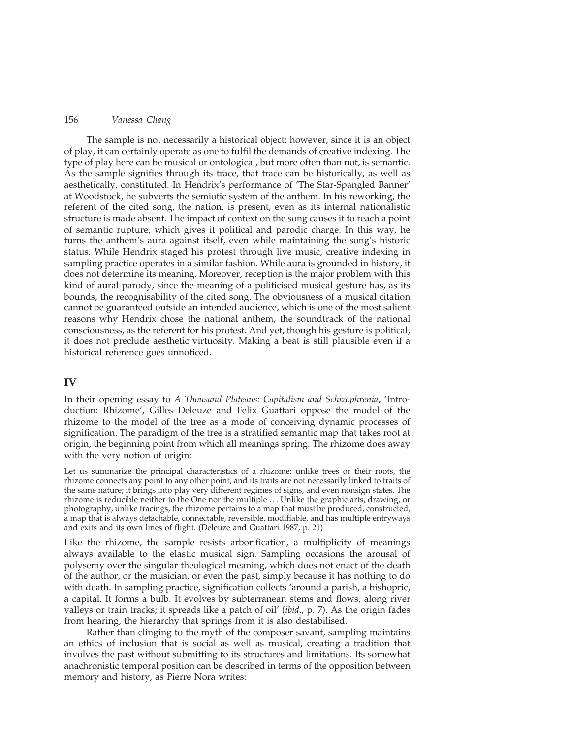The sample is not necessarily a historical object; however, since it is an object of play, it can certainly operate as one to fulfil the demands of creative indexing. The type of play here can be musical or ontological, but more often than not, is semantic. As the sample signifies through its trace, that trace can be historically, as well as aesthetically, constituted. In Hendrix's performance of 'The Star-Spangled Banner' at Woodstock, he subverts the semiotic system of the anthem. In his reworking, the referent of the cited song, the nation, is present, even as its internal nationalistic structure is made absent. The impact of context on the song causes it to reach a point of semantic rupture, which gives it political and parodic charge. In this way, he turns the anthem's aura against itself, even while maintaining the song's historic status. While Hendrix staged his protest through live music, creative indexing in sampling practice operates in a similar fashion. While aura is grounded in history, it does not determine its meaning. Moreover, reception is the major problem with this kind of aural parody, since the meaning of a politicised musical gesture has, as its bounds, the recognisability of the cited song. The obviousness of a musical citation cannot be guaranteed outside an intended audience, which is one of the most salient reasons why Hendrix chose the national anthem, the soundtrack of the national consciousness, as the referent for his protest. And yet, though his gesture is political, it does not preclude aesthetic virtuosity. Making a beat is still plausible even if a historical reference goes unnoticed.

### **IV**

In their opening essay to *A Thousand Plateaus: Capitalism and Schizophrenia*, 'Introduction: Rhizome', Gilles Deleuze and Felix Guattari oppose the model of the rhizome to the model of the tree as a mode of conceiving dynamic processes of signification. The paradigm of the tree is a stratified semantic map that takes root at origin, the beginning point from which all meanings spring. The rhizome does away with the very notion of origin:

Let us summarize the principal characteristics of a rhizome: unlike trees or their roots, the rhizome connects any point to any other point, and its traits are not necessarily linked to traits of the same nature; it brings into play very different regimes of signs, and even nonsign states. The rhizome is reducible neither to the One nor the multiple . . . Unlike the graphic arts, drawing, or photography, unlike tracings, the rhizome pertains to a map that must be produced, constructed, a map that is always detachable, connectable, reversible, modifiable, and has multiple entryways and exits and its own lines of flight. (Deleuze and Guattari 1987, p. 21)

Like the rhizome, the sample resists arborification, a multiplicity of meanings always available to the elastic musical sign. Sampling occasions the arousal of polysemy over the singular theological meaning, which does not enact of the death of the author, or the musician, or even the past, simply because it has nothing to do with death. In sampling practice, signification collects 'around a parish, a bishopric, a capital. It forms a bulb. It evolves by subterranean stems and flows, along river valleys or train tracks; it spreads like a patch of oil' (*ibid*., p. 7). As the origin fades from hearing, the hierarchy that springs from it is also destabilised.

Rather than clinging to the myth of the composer savant, sampling maintains an ethics of inclusion that is social as well as musical, creating a tradition that involves the past without submitting to its structures and limitations. Its somewhat anachronistic temporal position can be described in terms of the opposition between memory and history, as Pierre Nora writes: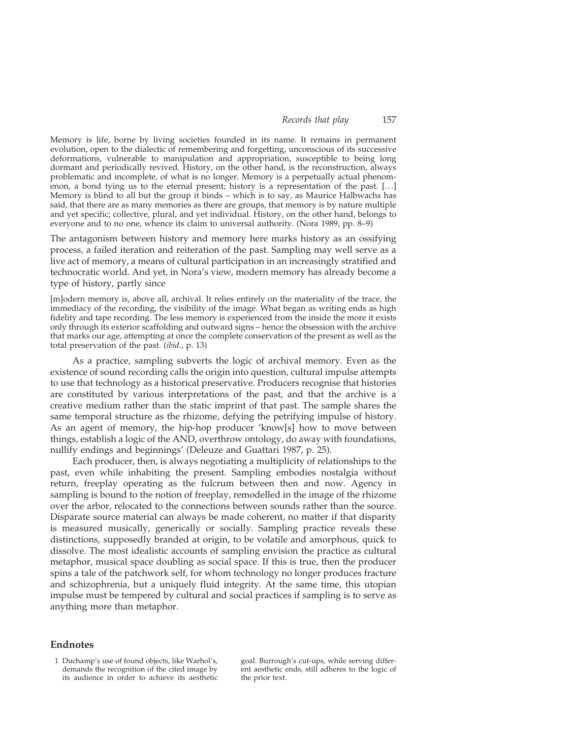Memory is life, borne by living societies founded in its name. It remains in permanent evolution, open to the dialectic of remembering and forgetting, unconscious of its successive deformations, vulnerable to manipulation and appropriation, susceptible to being long dormant and periodically revived. History, on the other hand, is the reconstruction, always problematic and incomplete, of what is no longer. Memory is a perpetually actual phenomenon, a bond tying us to the eternal present; history is a representation of the past. [. . .] Memory is blind to all but the group it binds – which is to say, as Maurice Halbwachs has said, that there are as many memories as there are groups, that memory is by nature multiple and yet specific; collective, plural, and yet individual. History, on the other hand, belongs to everyone and to no one, whence its claim to universal authority. (Nora 1989, pp. 8–9)

The antagonism between history and memory here marks history as an ossifying process, a failed iteration and reiteration of the past. Sampling may well serve as a live act of memory, a means of cultural participation in an increasingly stratified and technocratic world. And yet, in Nora's view, modern memory has already become a type of history, partly since

[m]odern memory is, above all, archival. It relies entirely on the materiality of the trace, the immediacy of the recording, the visibility of the image. What began as writing ends as high fidelity and tape recording. The less memory is experienced from the inside the more it exists only through its exterior scaffolding and outward signs – hence the obsession with the archive that marks our age, attempting at once the complete conservation of the present as well as the total preservation of the past. (*ibid*., p. 13)

As a practice, sampling subverts the logic of archival memory. Even as the existence of sound recording calls the origin into question, cultural impulse attempts to use that technology as a historical preservative. Producers recognise that histories are constituted by various interpretations of the past, and that the archive is a creative medium rather than the static imprint of that past. The sample shares the same temporal structure as the rhizome, defying the petrifying impulse of history. As an agent of memory, the hip-hop producer 'know[s] how to move between things, establish a logic of the AND, overthrow ontology, do away with foundations, nullify endings and beginnings' (Deleuze and Guattari 1987, p. 25).

Each producer, then, is always negotiating a multiplicity of relationships to the past, even while inhabiting the present. Sampling embodies nostalgia without return, freeplay operating as the fulcrum between then and now. Agency in sampling is bound to the notion of freeplay, remodelled in the image of the rhizome over the arbor, relocated to the connections between sounds rather than the source. Disparate source material can always be made coherent, no matter if that disparity is measured musically, generically or socially. Sampling practice reveals these distinctions, supposedly branded at origin, to be volatile and amorphous, quick to dissolve. The most idealistic accounts of sampling envision the practice as cultural metaphor, musical space doubling as social space. If this is true, then the producer spins a tale of the patchwork self, for whom technology no longer produces fracture and schizophrenia, but a uniquely fluid integrity. At the same time, this utopian impulse must be tempered by cultural and social practices if sampling is to serve as anything more than metaphor.

#### **Endnotes**

1 Duchamp's use of found objects, like Warhol's, demands the recognition of the cited image by its audience in order to achieve its aesthetic goal. Burrough's cut-ups, while serving different aesthetic ends, still adheres to the logic of the prior text.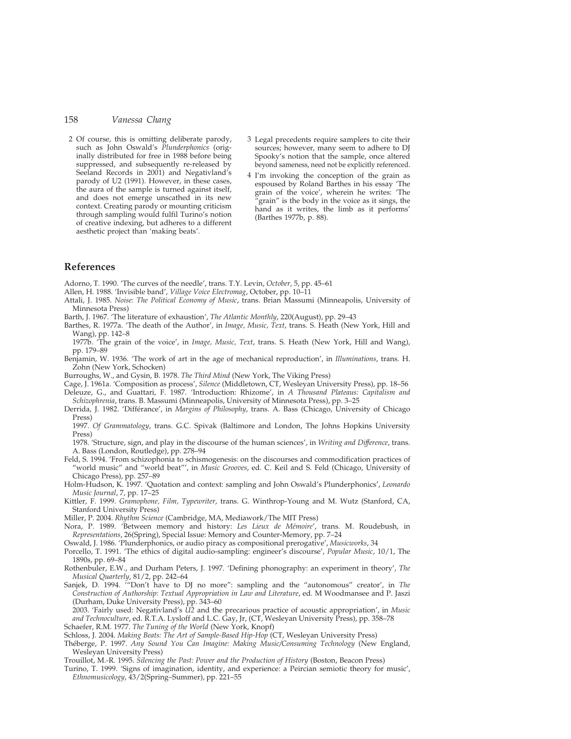#### 158 *Vanessa Chang*

- 2 Of course, this is omitting deliberate parody, such as John Oswald's *Plunderphonics* (originally distributed for free in 1988 before being suppressed, and subsequently re-released by Seeland Records in 2001) and Negativland's parody of U2 (1991). However, in these cases, the aura of the sample is turned against itself, and does not emerge unscathed in its new context. Creating parody or mounting criticism through sampling would fulfil Turino's notion of creative indexing, but adheres to a different aesthetic project than 'making beats'.
- 3 Legal precedents require samplers to cite their sources; however, many seem to adhere to DJ Spooky's notion that the sample, once altered beyond sameness, need not be explicitly referenced.
- 4 I'm invoking the conception of the grain as espoused by Roland Barthes in his essay 'The grain of the voice', wherein he writes: 'The grain" is the body in the voice as it sings, the hand as it writes, the limb as it performs' (Barthes 1977b, p. 88).

#### **References**

Adorno, T. 1990. 'The curves of the needle', trans. T.Y. Levin, *October*, 5, pp. 45–61

- Allen, H. 1988. 'Invisible band', *Village Voice Electromag*, October, pp. 10–11
- Attali, J. 1985. *Noise: The Political Economy of Music*, trans. Brian Massumi (Minneapolis, University of Minnesota Press)
- Barth, J. 1967. 'The literature of exhaustion', *The Atlantic Monthly*, 220(August), pp. 29–43
- Barthes, R. 1977a. 'The death of the Author', in *Image, Music, Text*, trans. S. Heath (New York, Hill and Wang), pp. 142–8
	- 1977b. 'The grain of the voice', in *Image, Music, Text*, trans. S. Heath (New York, Hill and Wang), pp. 179–89
- Benjamin, W. 1936. 'The work of art in the age of mechanical reproduction', in *Illuminations*, trans. H. Zohn (New York, Schocken)

Burroughs, W., and Gysin, B. 1978. *The Third Mind* (New York, The Viking Press)

Cage, J. 1961a. 'Composition as process', *Silence* (Middletown, CT, Wesleyan University Press), pp. 18–56

Deleuze, G., and Guattari, F. 1987. 'Introduction: Rhizome', in *A Thousand Plateaus: Capitalism and Schizophrenia*, trans. B. Massumi (Minneapolis, University of Minnesota Press), pp. 3–25

Derrida, J. 1982. 'Différance', in *Margins of Philosophy*, trans. A. Bass (Chicago, University of Chicago Press)

1997. *Of Grammatology*, trans. G.C. Spivak (Baltimore and London, The Johns Hopkins University Press)

1978. 'Structure, sign, and play in the discourse of the human sciences', in *Writing and Difference*, trans. A. Bass (London, Routledge), pp. 278–94

- Feld, S. 1994. 'From schizophonia to schismogenesis: on the discourses and commodification practices of "world music" and "world beat"', in *Music Grooves*, ed. C. Keil and S. Feld (Chicago, University of Chicago Press), pp. 257–89
- Holm-Hudson, K. 1997. 'Quotation and context: sampling and John Oswald's Plunderphonics', *Leonardo Music Journal*, 7, pp. 17–25
- Kittler, F. 1999. *Gramophone, Film, Typewriter*, trans. G. Winthrop-Young and M. Wutz (Stanford, CA, Stanford University Press)

Miller, P. 2004. *Rhythm Science* (Cambridge, MA, Mediawork/The MIT Press)

- Nora, P. 1989. 'Between memory and history: *Les Lieux de Mémoire*', trans. M. Roudebush, in *Representations*, 26(Spring), Special Issue: Memory and Counter-Memory, pp. 7–24
- Oswald, J. 1986. 'Plunderphonics, or audio piracy as compositional prerogative', *Musicworks*, 34
- Porcello, T. 1991. 'The ethics of digital audio-sampling: engineer's discourse', *Popular Music*, 10/1, The 1890s, pp. 69–84
- Rothenbuler, E.W., and Durham Peters, J. 1997. 'Defining phonography: an experiment in theory', *The Musical Quarterly*, 81/2, pp. 242–64
- Sanjek, D. 1994. '"Don't have to DJ no more": sampling and the "autonomous" creator', in *The Construction of Authorship: Textual Appropriation in Law and Literature*, ed. M Woodmansee and P. Jaszi (Durham, Duke University Press), pp. 343–60

2003. 'Fairly used: Negativland's *U2* and the precarious practice of acoustic appropriation', in *Music and Technoculture*, ed. R.T.A. Lysloff and L.C. Gay, Jr, (CT, Wesleyan University Press), pp. 358–78 Schaefer, R.M. 1977. *The Tuning of the World* (New York, Knopf)

Schloss, J. 2004. *Making Beats: The Art of Sample-Based Hip-Hop* (CT, Wesleyan University Press)

- Théberge, P. 1997. *Any Sound You Can Imagine: Making Music/Consuming Technology* (New England, Wesleyan University Press)
- Trouillot, M.-R. 1995. *Silencing the Past: Power and the Production of History* (Boston, Beacon Press)

Turino, T. 1999. 'Signs of imagination, identity, and experience: a Peircian semiotic theory for music', *Ethnomusicology*, 43/2(Spring–Summer), pp. 221–55